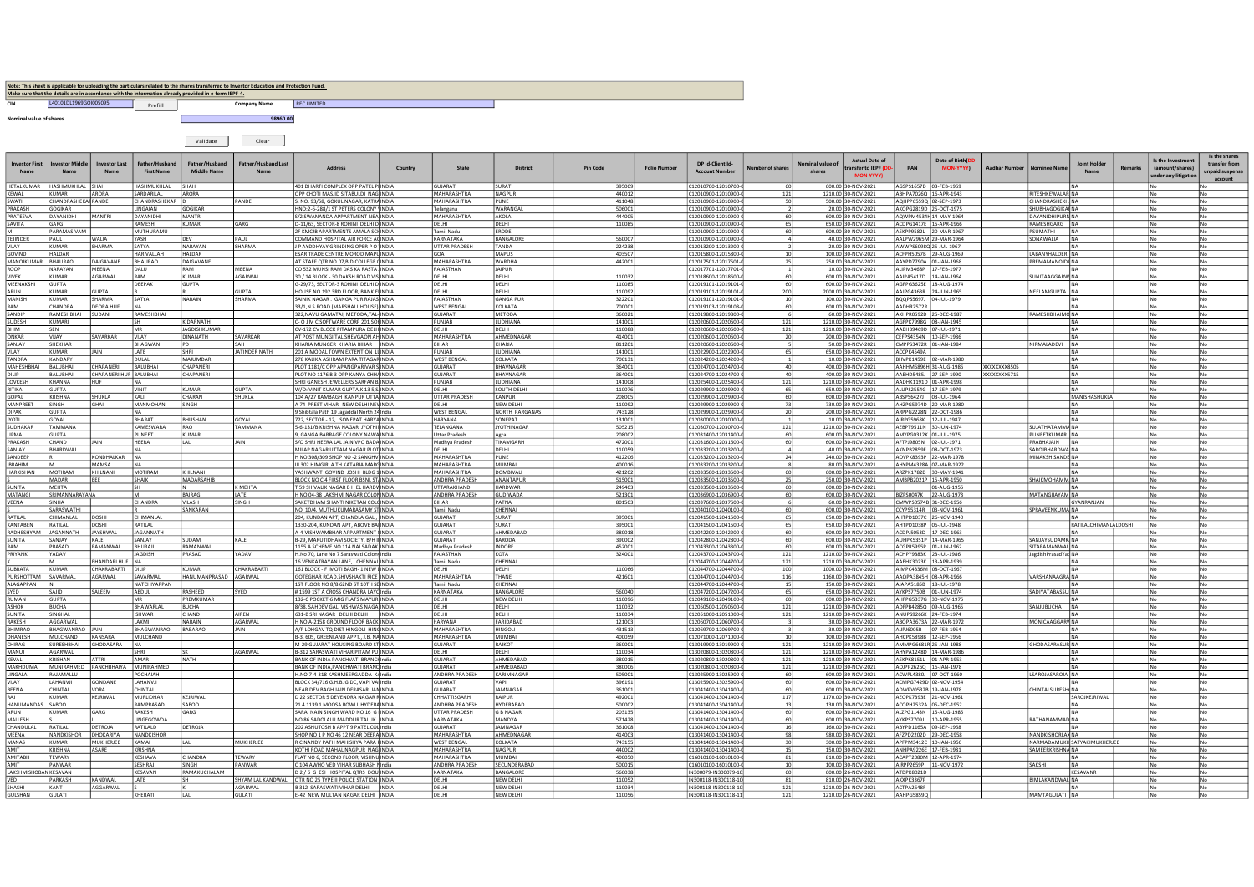|            | Make sure that the details are in accordance with the information already provided in e-form IEPF-4. |         | Note: This sheet is applicable for uploading the particulars related to the shares transferred to Investor Education and Protection Fund. |             |
|------------|------------------------------------------------------------------------------------------------------|---------|-------------------------------------------------------------------------------------------------------------------------------------------|-------------|
| <b>CIN</b> | 140101011969601005095                                                                                | Prefill | <b>Company Name</b>                                                                                                                       | REC LIMITED |

nominal value of shares and the state of shares and the state of the state of the state of the state of the state of the state of the state of the state of the state of the state of the state of the state of the state of t

|                                             |                               |                                          |                                     | Validate                             | Clear                      |                                                                                  |         |                                             |                               |                  |                     |                                            |                       |                           |                                                                 |                                                  |                                                  |               |                                                    |                              |                |                                                         |                                                  |
|---------------------------------------------|-------------------------------|------------------------------------------|-------------------------------------|--------------------------------------|----------------------------|----------------------------------------------------------------------------------|---------|---------------------------------------------|-------------------------------|------------------|---------------------|--------------------------------------------|-----------------------|---------------------------|-----------------------------------------------------------------|--------------------------------------------------|--------------------------------------------------|---------------|----------------------------------------------------|------------------------------|----------------|---------------------------------------------------------|--------------------------------------------------|
| <b>Investor First</b><br>Name               | tor Middle                    | <b>Investor Last</b>                     | Eather/Huchang<br><b>First Name</b> | Father/Huchand<br><b>Middle Name</b> | <b>Father/Husband Last</b> | <b>Address</b>                                                                   | Country | State                                       | <b>District</b>               | <b>Pin Code</b>  | <b>Folio Number</b> | DP Id-Client Id-<br><b>Account Numbe</b>   | lumber of share       | nminal value of<br>shares | <b>Actual Date of</b><br>ransfer to <b>IFPF</b> (I<br>MON. VVVV | PAN                                              | Date of Birth(D)<br>MON-YYYYY                    | Aadhar Number |                                                    | <b>Joint Holde</b>           | <b>Remarks</b> | Is the Investr<br>(amount/shares)<br>nder any litigatio | Is the shares<br>transfer from<br>unpaid suspens |
| HETALKUMAR<br><b>KEWAL</b>                  | HASHMUKHLAL<br><b>KUMAR</b>   | SHAH<br>ARORA                            | <b>HASHMUKHLAL</b><br>SARDARILAL    | SHAH<br>ARORA                        |                            | 401 DHARTI COMPLEX OPP PATEL P INDIA<br>OPP CHOTI MASJID SITABULDI NAG INDIA     |         | GUJARAT<br><b>MAHARASHTRA</b>               | SURAT<br><b>NAGPUR</b>        | 395009<br>440012 |                     | 12010700-12010700-<br>C12010900-12010900-0 | 121                   |                           | 600.00 30-NOV-2021<br>1210.00 30-NOV-2021                       | AGSPS1657D 03-FEB-1969                           | ABHPA7026Q 16-APR-1943                           |               | <b>RITESHKEWALAR NA</b>                            | NA                           |                |                                                         | N٥                                               |
| SWATI                                       | <b>CHANDRASHEKAI PANDE</b>    |                                          | CHANDRASHEKAR ID                    |                                      | PANDE                      | S NO 93/58 GOKUL NAGAR KATRAINDIA                                                |         | MAHARASHTRA                                 | PUNE                          | 411048           |                     | C12010900-12010900-                        | 50                    |                           | 500.00 30-NOV-2021                                              | AOHPP65590 02-SEP-1973                           |                                                  |               | CHANDRASHEKHINA                                    |                              |                | N <sub>n</sub>                                          | No.                                              |
| PRAKASH<br>PRATEEVA                         | GOGIKAR<br>DAYANIDHI          | MANTR                                    | LINGAIAN<br>DAYANIDH                | GOGIKAR<br><b>MANTRI</b>             |                            | HNO:2-6-288/1 ST PETERS COLONY INDIA<br>S/2 SWANANDA APPARTMENT NEA INDIA        |         | Telangana<br>MAHARASHTRA                    | <b>WARANGA</b><br>AKOLA       | 506001<br>444005 |                     | 12010900-12010900<br>12010900-12010900-    |                       |                           | 20.00 30-NOV-2021<br>600.00 30-NOV-2021                         | AKOPG2819D 25-OCT-1975                           | 4QWPM4534H 14-MAY-1964                           |               | <b>SHUBHAGOGIKAI NA</b><br><b>DAYANIDHIPURN NA</b> |                              |                |                                                         | No                                               |
| SAVITA                                      | GARG                          |                                          | RAMESH                              | <b>KUMAR</b>                         | GARG                       | D-11/63, SECTOR-8 ROHINI DELHI D INDIA                                           |         | DELHI                                       | DELHI                         | 110085           |                     | 12010900-12010900-                         | 60<br>65              |                           | 650.00 30-NOV-2021                                              |                                                  | ACDPG1417E 15-APR-1966                           |               | RAMESHGARG NA                                      |                              |                |                                                         | No<br>No                                         |
|                                             | PARAMASIVAN                   |                                          | MUTHURAMU                           |                                      |                            | 2F KMCJB APARTMENTS AMALA SCHINDIA                                               |         | <b>Tamil Nadu</b>                           | ERODE                         |                  |                     | C12010900-12010900                         | 60                    |                           | 600.00 30-NOV-2021                                              |                                                  | AEKPP9582L 20-MAR-1967                           |               | PSUMATHI<br><b>NA</b>                              |                              |                |                                                         | No                                               |
| <b>TEJINDER</b><br>VIJAY                    | PAUL<br>KUMAR                 | WALIA<br>SHARMA                          | YASH<br><b>SATYA</b>                | DFV<br>NARAYAN                       | PAUL<br>SHARMA             | COMMAND HOSPITAL AIR FORCE ADINDIA<br><b>JP AYDDHYAY GRINDING OPER P O INDIA</b> |         | KARNATAKA<br><b>ITTAR PRADESH</b>           | BANGALORI<br>TANDA            | 560007<br>224238 |                     | 212010900-12010900-<br>12013200-12013200   |                       |                           | 40.00 30-NOV-2021<br>20.00 30-NOV-2021                          | AWWPS60980 25-JUL-1967                           | AALPW2965M 29-MAR-1964                           |               | SONAWALIA<br><b>INA</b>                            |                              |                |                                                         | No                                               |
| GOVIND                                      | HALDAR                        |                                          | <b>HARIVALLAF</b>                   | <b>HALDAR</b>                        |                            | ESAR TRADE CENTRE MOROD MAPUINDIA                                                |         | GOA                                         | MAPUS                         | 403507           |                     | 12015800-12015800-                         |                       |                           | 100.00 30-NOV-2021                                              |                                                  | CFPH5057B 29-AUG-1969                            |               | ABANYHALDER NA                                     |                              |                |                                                         | No                                               |
| MANOIKUMAR<br>ROOP                          | RHAURAC<br>NARAYAN            | DAIGAVANE<br>MEENA                       | <b>BHAURAO</b><br>DALU              | DAIGAVANE<br>RAM                     | MEENA                      | AT STAFF OTR.NO.07.B.D.COLLEGE CINDIA<br>CO 532 MUNSI RAM DAS KA RASTA INDIA     |         | MAHARASHTRA<br>RAIASTHAN                    | <b>WARDHA</b><br>JAIPUR       | 442001           |                     | 12017501-12017501-<br>C12017701-12017701-  | 25                    |                           | 250.00 30-NOV-2021<br>10.00 30-NOV-2021                         | AAYPD7790A 01-JAN-1968<br>ALIPM3468P 17-FEB-1977 |                                                  |               | PREMAMANOIDANA<br><b>INA</b>                       |                              |                |                                                         | No<br>No                                         |
| <b>VIVEK</b>                                | KUMAR                         | AGARWAL                                  | RAM                                 | <b>KUMAR</b>                         | AGARWAL                    | 30 / 14 BLOCK - 30 DAKSH ROAD VIS INDIA                                          |         | DELHI                                       | DELHI                         | 110032           |                     | C12018600-12018600-                        | 60                    |                           | 600.00 30-NOV-2021                                              | AAIPA5417D 14-JAN-1964                           |                                                  |               | <b>SUNITAAGGARWINA</b>                             |                              |                |                                                         | No                                               |
| MFFNAKSHI                                   | <b>GUPTA</b>                  |                                          | DEEPAK                              | <b>GUPTA</b>                         |                            | G-29/73. SECTOR-3 ROHINI DELHI DIINDIA                                           |         | DELHI                                       | <b>DELHI</b>                  | 110085           |                     | 12019101-12019101                          | 60                    |                           | 600.00 30-NOV-2021                                              |                                                  | AGEPG3625E 18-AUG-1974                           |               | l N.a                                              |                              |                |                                                         | No                                               |
| ARUN<br><b>MANISH</b>                       | <b>CUMAR</b><br><b>KUMAR</b>  | <b>SUPTA</b><br>SHARMA                   | <b>SATYA</b>                        | <b>NARAIN</b>                        | <b>GUPTA</b><br>SHARMA     | HOUSE NO.192 3RD FLOOR, BANK E INDIA<br>SAINIK NAGAR. GANGA PUR RAJAS INDIA      |         | DELHI<br>RAJASTHAN                          | DELHI<br><b>GANGA PUF</b>     | 110092<br>322201 |                     | 012019101-12019101<br>C12019101-12019101-  | 200<br>10             |                           | 2000.00 30-NOV-2021<br>100.00 30-NOV-2021                       | BOOPS5697J 04-JUL-1979                           | AAJPG4363R 24-JUN-1965                           |               | NEELAMGUPTA NA                                     | <b>INA</b>                   |                |                                                         | No<br><b>No</b>                                  |
| RAM                                         | CHANDRA                       | DEORA HUE                                | INA.                                |                                      |                            | 33/1.N.S.ROAD (MARSHALL HOUSE) INDIA                                             |         | <b>WEST RENGAL</b>                          | KOLKATA                       | 700001           |                     | C12019103-12019103-                        | 60                    |                           | 600.00 30-NOV-2021                                              | AADHR2572R                                       |                                                  |               |                                                    | <b>INA</b>                   |                | No                                                      | No                                               |
| SANDIP<br>SUDESH                            | <b>RAMESHBHA</b><br>KUMARI    | UDANI                                    | RAMESHBHA                           | KIDARNATH                            |                            | 322.NAVU GAMATAI, METODA.TAL-INDIA<br>C- O J M C SOFTWARE CORP 201 SOLINDIA      |         | GUJARAT<br>PUNJAB                           | METODA<br>LUDHIANA            | 360021<br>141001 |                     | 12019800-12019800<br>C12020600-12020600-   | 121                   |                           | 60.00 30-NOV-2021<br>1210.00 30-NOV-2021                        | AKHPR0592D 25-DEC-1987<br>AGFPK7998G 08-JAN-1945 |                                                  |               | RAMESHBHAIMO NA                                    | <b>INA</b>                   |                |                                                         | No<br>No                                         |
| BHIM                                        | SEN                           |                                          | MR                                  | <b>IAGDISHKUMAR</b>                  |                            | CV-172 CV BLOCK PITAMPURA DELH INDIA                                             |         | DELHI                                       | DELHI                         | 110088           |                     | 212020600-12020600-                        | $121$                 |                           | 1210.00 30-NOV-2021                                             | AABHB9469D 07-JUL-1971                           |                                                  |               |                                                    | NA)                          |                |                                                         | No                                               |
| ONKAR                                       | VIJAY                         | SAVARKAR                                 | VIJAY                               | DINANATH                             | SAVARKAR                   | AT POST MUNGI TAL SHEVGAON AH INDIA                                              |         | MAHARASHTRA                                 | AHMEDNAGAR                    | 414001           |                     | 12020600-12020600-                         | 20                    |                           | 200.00 30-NOV-2021                                              |                                                  | CEFPS4354N 10-SEP-1986                           |               |                                                    | <b>INA</b>                   |                |                                                         | No                                               |
| SANJAY<br>VIJAY                             | SHEKHAR<br>KUMAR              | <b>JAIN</b>                              | <b>RHAGWAN</b><br>LATE              | PD<br>SHRI                           | <b>IATINDER NATH</b>       | KHARIA MUNGER KHARIA RIHAR INDIA<br>201 A MODAL TOWN EXTENTION LUINDIA           |         | <b>BIHAR</b><br>PUNJAB                      | KHARIA<br>LUDHIANA            | 811201<br>141001 |                     | C12020600-12020600-<br>C12022900-12022900- | 65                    |                           | 50.00 30-NOV-2021<br>650.00 30-NOV-2021                         | CMPPS3472R 01-IAN-1984<br>ACCPK4549A             |                                                  |               | NIRMALADEVI NA                                     | İNA                          |                |                                                         | No.<br>No                                        |
| <b>TANDRA</b>                               | KANDARY                       |                                          | DULAL                               | MAJUMDAR                             |                            | 278 KALIKA ASHRAM PARA TITAGAH INDIA                                             |         | <b>WEST BENGA</b>                           | KOLKATA                       | 70013            |                     | 12024200-12024200                          |                       |                           | 10.00 30-NOV-2021                                               |                                                  | BHVPK1459E 02-MAR-1980                           |               |                                                    | <b>INA</b>                   |                |                                                         | No                                               |
| MAHESHBHA<br>DILIP                          | <b>BALUBHAI</b><br>BALUBHA    | <b>HAPANERI</b><br>CHAPANERI HUF BALUBHA | <b>BALUBHA</b>                      | CHAPANERI<br>CHAPANERI               |                            | PLOT 1181/C OPP APANGPARIVAR S INDIA<br>PLOT NO 1176 B 3 OPP KANYA CHHAINDIA     |         | GUJARAT<br>GUJARAT                          | BHAVNAGAR<br>BHAVNAGAR        | 364001<br>364001 |                     | 212024700-12024700<br>C12024700-12024700   | 40<br>40              |                           | 400.00 30-NOV-2021<br>400.00 30-NOV-2021                        | AAEHD5485J 27-SEP-1990                           | AAHHM6896H 31-AUG-1986                           | XXXXXXXX5715  |                                                    | <b>INA</b><br>NA             |                |                                                         | No<br>No                                         |
| LOVKESH                                     | <b>KHANNA</b>                 | HUF                                      | INA.                                |                                      |                            | SHRI GANESH JEWELLERS SARFAN BLINDIA                                             |         | PUNJAB                                      | LUDHIANA                      | 141008           |                     | 12025400-12025400-                         | 121                   |                           | 1210.00 30-NOV-2021                                             | AADHK1191D 01-APR-1998                           |                                                  |               |                                                    | <b>INA</b>                   |                |                                                         | No.                                              |
| RITIKA                                      | <b>GUPTA</b>                  |                                          | VINIT                               | KUMAR                                | <b>GUPTA</b>               | W/O: VINIT KUMAR GUPTA.K 13 5.S INDIA                                            |         | DELHI                                       | SOUTH DELHI                   | 110076           |                     | 12029900-12029900-                         | 65                    |                           | 650.00 30-NOV-2021                                              | ALUPS2554G 17-SEP-1979                           |                                                  |               |                                                    | <b>NA</b>                    |                |                                                         | No                                               |
| GOPAL<br>MANPREET                           | KRISHNA<br>SINGH              | SHUKLA<br>SHAL                           | KALI<br>MANMOHAN                    | CHARAN<br>SINGH                      | <b>SHUKLA</b>              | 104 A/27 RAMBAGH KANPUR UTTA INDIA<br>A 74 PREET VIHAR NEW DELHI NEVINDIA        |         | <b>UTTAR PRADESH</b><br>DELHI               | KANPUR<br><b>NEW DELHI</b>    | 208005<br>110092 |                     | 12029900-12029900-<br>12029900-12029900-   | 60<br>73              |                           | 600.00 30-NOV-2021<br>730.00 30-NOV-2021                        | ABSPS6427J 03-JUL-1964                           | AHZPG5974D 20-MAR-1980                           |               |                                                    | MANISHASHUKLA<br>INA.        |                |                                                         | No<br>No                                         |
| <b>DIPAK</b>                                | <b>GUPTA</b>                  |                                          |                                     |                                      |                            | 9 Shibtala Path 19 Jagaddal North 24 India                                       |         | <b>WEST BENGAL</b>                          | NORTH PARGANAS                | 743128           |                     | 12029900-12029900                          |                       |                           | 200.00 30-NOV-2021                                              |                                                  | ARPPG2228N 22-OCT-1986                           |               | <b>INA</b>                                         |                              |                |                                                         | No                                               |
| <b>JYOTI</b>                                | GOYAL<br>TAMMANA              |                                          | BHARAT<br><b>KAMFSWARA</b>          | BHUSHAN<br>RAO                       | GOYAL<br>TAMMANA           | 722, SECTOR - 12, SONEPAT HARYA INDIA                                            |         | <b>HARYANA</b><br><b>TFI ANGANA</b>         | SONEPAT<br><b>IYOTHINAGAR</b> | 131001           |                     | C12030000-12030000-                        |                       |                           | 10.00 30-NOV-2021                                               | AJRPG5968K 12-JUL-1987                           |                                                  |               | <b>INA</b><br>I HATHATAMMA NA                      |                              |                |                                                         | No                                               |
| <b>SUDHAKAR</b><br><b>JPMA</b>              | <b>GUPTA</b>                  |                                          | PUNEET                              | <b>KUMAR</b>                         |                            | 5-6-131/B KRISHNA NAGAR JYOTHII INDIA<br>, GANGA BARRAGE COLONY NAWA INDIA       |         | <b>Uttar Pradesh</b>                        | Agra                          | 505215<br>20800  |                     | 12030700-12030700<br>12031400-12031400     | 121                   |                           | 1210.00 30-NOV-2021<br>600.00 30-NOV-2021                       | AEBPT9511N 30-JUN-1974<br>AMYPG0312K 01-JUL-1975 |                                                  |               | PUNEETKUMAR NA                                     |                              |                |                                                         |                                                  |
| PRAKASH                                     | CHAND                         | <b>JAIN</b>                              | HEERA                               | LAL                                  | JAIN                       | S/O SHRI HEERA LAL JAIN VPO BADA INDIA                                           |         | Madhya Pradesh                              | TIKAMGAR                      | 472001           |                     | C12031600-12031600-                        | 60                    |                           | 600.00 30-NOV-2021                                              | AFTPJ9805N 02-JUL-1971                           |                                                  |               | PRABHAJAIN NA                                      |                              |                |                                                         | No                                               |
| SANJAY<br>SANDEEP                           | BHARDWAJ                      | KONDHALKAR                               | lna.<br><b>INA</b>                  |                                      |                            | MILAP NAGAR UTTAM NAGAR PLOT INDIA<br>H NO 308/309 SHOP NO -2 SANGHV INDIA       |         | DELHI<br>MAHARASHTRA                        | DELHI<br>PUNE                 | 110059<br>412206 |                     | C12033200-12033200-<br>C12033200-12033200  | 24                    |                           | 40.00 30-NOV-2021<br>240.00 30-NOV-2021                         | AKNPB2859F 08-OCT-1973                           | AOVPK8393P 22-MAR-1978                           |               | SAROJBHARDWA NA<br><b>MINAKSHISANDE NA</b>         |                              |                | No                                                      | No<br>No                                         |
| <b>IRRAHIM</b>                              |                               | MAMSA                                    | INA.                                |                                      |                            | III 302 HIMGIRI A TH KATARIA MARCINDIA                                           |         | MAHARASHTRA                                 | MUMRAI                        | 400016           |                     | C12033200-12033200-                        |                       |                           | 80.00 30-NOV-2021                                               |                                                  | AHYPM4328A 07-MAR-1922                           |               | <b>INA</b>                                         |                              |                |                                                         | No.                                              |
| HARKISHAN                                   | MOTIRAM<br>MADAR              | KHILNANI                                 | MOTIRAM                             | KHII NANI                            |                            | YASHWANT GOVIND JOSHI BLDG 1 INDIA                                               |         | MAHARASHTRA                                 | DOMBIVAL                      | 421202           |                     | 12033500-12033500                          | 60                    |                           | 600.00 30-NOV-2021                                              |                                                  | ARZPK1782D 30-MAY-1941                           |               |                                                    | <b>NA</b>                    |                |                                                         |                                                  |
| <b>SUNITA</b>                               | МЕНТА                         | RFF                                      | SHAIK                               | MADARSAHIB                           | K MFHTA                    | BLOCK NO C 4 FIRST FLOOR BSNL ST INDIA<br>IT 59 SHIVALIK NAGAR R H FL HARDVINDIA |         | <b>ANDHRA PRADESH</b><br><b>UTTARAKHAND</b> | ANANTAPUR<br><b>HARDWAR</b>   | 515001<br>249403 |                     | 12033500-12033500-<br>C12033500-12033500-  | 25<br>60 <sup>1</sup> |                           | 250.00 30-NOV-2021<br>600.00 30-NOV-2021                        |                                                  | AMBPB2021P 15-APR-1950<br>01-AUG-1955            |               | SHAIKMOHAMMINA                                     | <b>INA</b>                   |                |                                                         | No<br>No                                         |
| MATANGI                                     | SRIMANNARAYANA                |                                          |                                     | <b>BAIRAG</b>                        | LATE                       | H NO 04-38 LAKSHMI NAGAR COLON INDIA                                             |         | <b>ANDHRA PRADESH</b>                       | GUDIWADA                      | 521301           |                     | 12036900-12036900-                         | 60                    |                           | 600.00 30-NOV-2021                                              |                                                  | BIZPS0047K 22-AUG-1973                           |               | <b>MATANGUAYAMINA</b>                              |                              |                |                                                         | No                                               |
| VEENA                                       | SINHA<br>SARASWATH            |                                          | CHANDRA                             | VII ASH<br>SANKARAN                  | SINGH                      | SAKETDHAM SHANTI NIKETAN COLOIDDIA<br>NO. 10/4 MUTHUKUMARASAMY STINDIA           |         | BIHAR<br>Tamil Nadu                         | PATNA<br>CHENNAL              | 801503           |                     | 12037600-12037600-<br>12040100-12040100    | 60                    |                           | 60.00 30-NOV-2021<br>600.00 30-NOV-2021                         |                                                  | CMWPS0574B 31-DEC-1956<br>CYPS5314R 03-NOV-1961  |               | <b>SPRAVEENKUMA NA</b>                             | GYANRANIA                    |                |                                                         | No<br>No.                                        |
| RATILAL                                     | CHIMANLAL                     | DOSHI                                    | CHIMANLAL                           |                                      |                            | 204. KUNDAN APT. CHANDLA GALI. INDIA                                             |         | GUJARAT                                     | SURAT                         | 395001           |                     | 12041500-12041500                          | 65                    |                           | 650.00 30-NOV-2021                                              |                                                  | AHTPD1037C 26-NOV-1940                           |               |                                                    |                              |                |                                                         | No                                               |
| KANTABEN<br><b>RADHESHYAM</b>               | RATILAL<br><b>IAGANNATH</b>   | DOSHI<br><b>IAVSHMAL</b>                 | RATILAL<br><b>IAGANNATH</b>         |                                      |                            | 1330-204. KUNDAN APT, ABOVE BALINDIA<br>A-4-VISHWAMRHAR APPARTMENT INDIA         |         | GUJARAT<br>GUIARAT                          | SURAT<br><b>AHMEDARAD</b>     | 395001<br>380018 |                     | 12041500-12041500-<br>212042200-12042200   | 65<br>60              |                           | 650.00 30-NOV-2021<br>600.00 30-NOV-2021                        | AHTPD1038P 06-JUL-1948<br>ACDPJ5053D 17-DEC-1963 |                                                  |               |                                                    | RATILAI CHIMANI AI DOSHI     |                |                                                         | No<br>No                                         |
| SUNITA                                      | SANJAY                        | KALE                                     | SANJAY                              | SUDAM                                | KALE                       | B-29. MARUTIDHAM SOCIETY, B/H II INDIA                                           |         | GUJARAT                                     | BARODA                        | 390002           |                     | 12042800-12042800                          | 60                    |                           | 600.00 30-NOV-2021                                              | AUHPK5351P 14-MAR-1965                           |                                                  |               | ANJAYSUDAMK. NA                                    |                              |                |                                                         | No                                               |
| RAM                                         | PRASAD                        | RAMANWAI                                 | <b>BHURAJI</b>                      | RAMANWAI                             |                            | 1155 A SCHEME NO 114 NAI SADAK INDIA                                             |         | Madhya Pradesł                              | <b>INDORF</b>                 | 452001           |                     | 12043300-12043300                          | 60                    |                           | 600.00 30-NOV-2021                                              | ACGPR5995P 01-JUN-1962                           |                                                  |               | SITARAMANWAL NA                                    |                              |                |                                                         | No                                               |
| PRIYANK                                     | YADAV                         | BHANDARIHUF NA                           | <b>JAGDISH</b>                      | PRASAD                               | YADAV                      | H.No 70, Lane No 7 Saraswati Colon India<br>16 VENKATRAYAN LANE, CHENNAI INDIA   |         | RAJASTHAN<br>Tamil Nadu                     | KOTA<br>CHENNAL               | 324001           |                     | 212043700-12043700<br>C12044700-12044700-  | 121<br>121            |                           | 1210.00 30-NOV-2021<br>1210.00 30-NOV-2021                      | ACHPY9383K 23-JUL-1986<br>AAEHK3023K 13-APR-1939 |                                                  |               | agdishPrasadYac NA<br><b>INA</b>                   |                              |                |                                                         | No<br>No                                         |
| SURRATA                                     | KUMAR                         | CHAKRABARTI DILIP                        |                                     | KUMAR                                | CHAKRARARTI                | 161 BLOCK - F.MOTI BAGH- 1 NEW INDIA                                             |         | DELHI                                       | DELHI                         | 110066           |                     | 12044700-12044700-                         | 100                   |                           | 1000.00 30-NOV-2021                                             | AIMPC4336M 08-OCT-1967                           |                                                  |               | <b>INA</b>                                         |                              |                |                                                         | No                                               |
| PURSHOTTAM<br><b>ALAGAPPAN</b>              | SAVARMA                       | AGARWAL                                  | SAVARMAL<br>NATCHIYAPPAN            | HANIIMANPRASAD                       | <b>AGARWAL</b>             | SOTEGHAR ROAD.SHIVSHAKTI RICE INDIA<br>1ST FLOOR NO 8/8 62ND ST 10TH SEINDIA     |         | <b>MAHARASHTRA</b><br><b>Tamil Nadu</b>     | THANF                         | 421601           |                     | 12044700-12044700<br>12044700-12044700-    | 116                   |                           | 1160.00 30-NOV-2021                                             | AAOPA3845H 08-APR-1966<br>AJAPA5185B 18-JUL-1978 |                                                  |               | VARSHANAAGRANA                                     |                              |                |                                                         | No                                               |
| SYED                                        | SAJID                         | SALEEM                                   | ABDUL                               | <b>RASHEED</b>                       | SYED                       | #15991ST A CROSS CHANDRA LAYO India                                              |         | KARNATAKA                                   | CHENNAI<br><b>BANGALORE</b>   | 560040           |                     | 12047200-12047200-                         | 15<br>65              |                           | 150.00 30-NOV-2021<br>650.00 30-NOV-2021                        |                                                  | AYKPS7750B 01-JUN-1974                           |               | <b>INA</b><br><b>SADIYATARASSUINA</b>              |                              |                | No                                                      | No<br>No                                         |
| <b>RUMAN</b>                                | <b>GUPTA</b>                  |                                          | MR                                  | PREMKUMAR                            |                            | 132-C POCKET-6 MIG FLATS MAYUR INDIA                                             |         | DELHI                                       | NEW DELHI                     | 110096           |                     | 12049100-12049100                          | 60                    |                           | 600.00 30-NOV-2021                                              |                                                  | HFPG5337G 30-NOV-1975                            |               |                                                    |                              |                |                                                         | No                                               |
| ASHOK<br>SUNITA                             | <b>BUCHA</b><br>SINGHAI       |                                          | BHAWARLAI<br><b>ISHWAR</b>          | <b>BUCHA</b><br>CHAND                | AIREN                      | 8/38. SAHDEV GALI VISHWAS NAGA INDIA<br>631-B SRI NAGAR DELHI DELHI   INDIA      |         | DELHI<br>DELHI                              | DELHI<br>DELHI                | 110032<br>110034 |                     | C12050500-12050500-<br>12051000-12051000   | 121<br>121            |                           | 1210.00 30-NOV-2021<br>1210.00 30-NOV-2021                      |                                                  | ADFPB4285Q 09-AUG-1965<br>ANUPS9266K 24-FEB-1974 |               | SANJUBUCHA INA                                     |                              |                |                                                         | No                                               |
| RAKESH                                      | AGGARWAI                      |                                          | LAXMI                               | NARAIN                               | AGARWAI                    | I NO A-2158 GROUND FLOOR BACK INDIA                                              |         | hARYANA                                     | FARIDABAD                     | 121003           |                     | 12060700-12060700                          |                       |                           | 30.00 30-NOV-2021                                               |                                                  | ABQPA3673A 22-MAR-1972                           |               | MONICAAGGARVINA                                    |                              |                |                                                         | No                                               |
| <b>BHIMRAO</b>                              | <b>RHAGWANRAO</b>             | <b>JAIN</b><br>KANSARA                   | <b>RHAGWANRAO</b><br>MULCHAND       | <b>BARARAO</b>                       | <b>JAIN</b>                | A/P LOHGAV TO DIST HINGOLI HINGINDIA<br>B-3, 605, GREENLAND APPT., J.B. NAINDIA  |         | MAHARASHTRA<br><b>MAHARASHTRA</b>           | <b>HINGOLI</b><br>MUMBAL      | 431513           |                     | C12069700-12069700-                        |                       |                           | 30.00 30-NOV-2021                                               | AUPJ6005B 07-FEB-1954                            |                                                  |               | <b>NA</b><br><b>INA</b>                            |                              |                |                                                         | No                                               |
| <b>DHANESH</b><br>CHIRAG                    | <b>MULCHAND</b><br>SURESHBHAI | <b>HODASARA</b>                          |                                     |                                      |                            | M-29 GUJARAT HOUSING BOARD STINDIA                                               |         | GUJARAT                                     | RAJKOT                        | 400059<br>360001 |                     | C12071000-12071000-<br>13019900-13019900-  | $121$                 |                           | 100.00 30-NOV-2021<br>1210.00 30-NOV-2021                       | AHCPK5898B 12-SEP-1956                           | MMPG6681R 25-JAN-1988                            |               | <b>HODASARASURINA</b>                              |                              |                |                                                         | No<br>No                                         |
| MANUL                                       | AGARWAI                       |                                          | <b>SHRI</b>                         |                                      | <b>AGARWAI</b>             | <b>B-312 SARASWATI VIHAR PITAM PULINDIA</b>                                      |         | DELHI                                       | DEI HI                        | 110034           |                     | 13020800-13020800                          | 121                   |                           | 1210.00 30-NOV-2021                                             |                                                  | AHYPA1248D 14-MAR-1986                           |               |                                                    | <b>NA</b>                    |                |                                                         | No                                               |
| KEVAL<br>MAKHDUMA                           | KRISHAN<br>MUNIRAHMED         | <b>ATTRI</b><br>PANCHBHAIYA              | AMAR<br>MUNIRAHMED                  | <b>NATH</b>                          |                            | BANK OF INDIA PANCHVATI BRANCHIndia<br>BANK OF INDIA.PANCHWATI BRANCIndia        |         | GUJARAT<br>GUJARAT                          | AHMEDARAD<br>AHMEDABAD        | 38001<br>380006  |                     | 13020800-13020800<br>13020800-13020800-    | 121<br>121            |                           | 1210.00 30-NOV-2021<br>1210.00 30-NOV-2021                      | AOJPP26260 16-JAN-1978                           | AEKPK8151L 01-APR-1953                           |               | <b>INA</b>                                         | <b>NA</b>                    |                |                                                         | No<br>No                                         |
| <b>INGALA</b>                               | <b>RAIAMAILLI</b>             |                                          | POCHAIAH                            |                                      |                            | H.NO.7-4-318 KASHMEERGADDA Killndia                                              |         | <b>ANDHRA PRADESH</b>                       | KARIMNAGAR                    | 505001           |                     | C13025900-13025900-                        | -60 l                 |                           | 600.00 30-NOV-2021                                              | ACWPL43801 07-OCT-1960                           |                                                  |               | I SAROJASAROJA I NA                                |                              |                | No                                                      | No                                               |
| VIJAY<br><b>BEENA</b>                       | LAHANVJ<br>CHINTAI            | GONDANE<br>VORA                          | LAHANVJI<br>CHINTAL                 |                                      |                            | BLOCK 34/716 G.H.B. GIDC, VAPI VA India<br>INEAR DEV BAGH JAIN DERASAR JANINDIA  |         | GUJARAT<br>GUJARAT                          | VAPI<br><b>JAMNAGAF</b>       | 396191<br>361001 |                     | 213025900-13025900-<br>13041400-13041400-  | 60<br>60              |                           | 600.00 30-NOV-2021                                              | ADWPV0532B 19-JAN-1978                           | ACMPG7429D 02-NOV-1954                           |               | HINTALSURESHINA                                    |                              |                |                                                         | No                                               |
| RAJ                                         | KUMAR                         | CEJRIWAL                                 | MURLIDHAR                           | KEJRIWAL                             |                            | D 22 SECTOR 5 DEVENDRA NAGAR RINDIA                                              |         | CHHATTISGARI                                | RAIPUR                        | 492001           |                     | 13041400-13041400                          | 117                   |                           | 600.00 30-NOV-2021<br>1170.00 30-NOV-2021                       |                                                  | EOPK7393E 21-NOV-1961                            |               |                                                    | SAROJKEJRIWAI                |                |                                                         | No<br>No                                         |
| HANUMANDAS                                  | SABOO                         |                                          | RAMPRASAD                           | <b>SABOO</b>                         |                            | 21 4 1139 1 MOOSA BOWL HYDERAINDIA                                               |         | <b>ANDHRA PRADESH</b>                       | <b>HYDERABAD</b>              | 500002           |                     | C13041400-13041400-                        | 13                    |                           | 130.00 30-NOV-2021                                              | ACOPH2532A 05-DEC-1952                           |                                                  |               |                                                    | INA.                         |                |                                                         | No                                               |
| ARUN<br><b>MALLESH</b>                      | <b>KUMAR</b>                  | GARG                                     | RAKESH<br><b>LINGEGOWDA</b>         | GARG                                 |                            | SARAI NAIN SINGH WARD NO 16 G INDIA<br>NO 86 SADOLALU MADDUR TALUK INDIA         |         | UTTAR PRADESH<br>KARNATAKA                  | <b>G B NAGAR</b><br>MANDYA    | 203135<br>571428 |                     | C13041400-13041400-<br>13041400-13041400   | 60<br>60              |                           | 600.00 30-NOV-2021<br>600.00 30-NOV-2021                        | AYKPS7709J                                       | ALZPG1143N 15-AUG-1985<br>10-APR-1955            |               | <b>RATHANAMMADINA</b>                              | <b>INA</b>                   |                |                                                         | No<br>No                                         |
| CHANDULAL                                   | RATILAL                       | DETROJA                                  | RATILALD                            | DETROJA                              |                            | 202 ASHUTOSH B APPT 9 PATEL COL India                                            |         | GUJARAT                                     | <b>JAMNAGAR</b>               | 361008           |                     | 13041400-13041400-                         | 16                    |                           | 160.00 30-NOV-2021                                              | ABYPD1165A 09-SEP-1968                           |                                                  |               | <b>INA</b>                                         |                              |                |                                                         | No                                               |
| MEENA                                       | NANDKISHOR                    | DHOKARIYA                                | NANDKISHOR                          |                                      |                            | SHOP NO 1 P NO 46 12 NEAR DEEPA INDIA                                            |         | <b>MAHARASHTRA</b>                          | AHMEDNAGAR                    | 414003           |                     | 13041400-13041400-                         | 98                    |                           | 980.00 30-NOV-2021                                              | AFZPD2202D 29-DEC-1958                           |                                                  |               | NANDKISHORLAX NA                                   |                              |                |                                                         | No                                               |
| MANAS<br>AMIT                               | KUMAR<br><b>KRISHNA</b>       | MUKHERJEE<br><b>ASARE</b>                | KAMAI<br><b>KRISHNA</b>             |                                      | MUKHERJEE                  | R C NANDY PATH MAHISHYA PARA I INDIA<br>KOTHI ROAD MAHAL NAGPUR NAG INDIA        |         | <b>WEST BENGAL</b><br>MAHARASHTRA           | KOLKATA<br><b>NAGPUR</b>      | 743155<br>440002 |                     | 213041400-13041400<br>C13041400-13041400-  | 30<br>15              |                           | 300.00 30-NOV-2021<br>150.00 30-NOV-2021                        | APFPM3412C 10-JAN-1950<br>ANHPA9226E 17-FEB-1981 |                                                  |               | <b>SAMEERKRISHNA NA</b>                            | NARMADAMUKH SATYAKIMUKHERJEI |                |                                                         | No<br>No                                         |
| AMITARH                                     | TFWARY                        |                                          | <b>KFSHAVA</b>                      | CHANDRA                              | TFWARY                     | FLAT NO 6. SECOND FLOOR, VISHNU INDIA                                            |         | MAHARASHTRA                                 | MUMRAL                        | 400050           |                     | 16010100-16010100-                         | 81                    |                           | 810.00 30-NOV-2021                                              |                                                  | ACAPT2080M 12-APR-1974                           |               |                                                    | <b>NA</b>                    |                |                                                         | No                                               |
| <b>AMIT</b><br><b>LAKSHMISHOBAN KESAVAN</b> | PANWAR                        |                                          | SESHRAJ<br>KESAVAN                  | SINGH<br>RAMAKUCHALAM                | <b>ANWAR</b>               | 104 AWHO VED VIHAR SUBHASH I India<br>D 2 / 6 G ESI HOSPITAL OTRS DOUINDIA       |         | ANDHRA PRADESH<br>KARNATAKA                 | SECUNDERABAD<br>BANGALORE     | 500015<br>560038 |                     | 16010100-16010100<br>IN300079-IN300079-10  | 60                    |                           | 100.00 30-NOV-2021<br>600.00 26-NOV-2021                        | IRPP2659P<br>ATDPK8021D                          | 11-NOV-1972                                      | SAKSHI        |                                                    | <b>KESAVANR</b>              |                |                                                         | No<br>No                                         |
| VED                                         | PARKASH                       | KANDWAL                                  | LATE                                |                                      |                            | SHYAM LAL KANDWAL   QTR NO 25 TYPE II POLICE STATION INDIA                       |         | DELHI                                       | NEW DELHI                     | 110052           |                     | IN300118-IN300118-10                       | 81                    |                           | 810.00 26-NOV-2021                                              | AKXPK3367P                                       |                                                  |               | BIMLAKANDWAL NA                                    |                              |                | No                                                      | No                                               |
| SHASHI                                      | KANT                          | GGARWAL                                  |                                     |                                      | AGARWAL                    | B 312 SARASWATI VIHAR DELHI   INDIA                                              |         | DELHI                                       | NEW DELHI                     | 110034           |                     | IN300118-IN300118-10                       | 121                   |                           | 1210.00 26-NOV-2021                                             | ACTPA2648F                                       |                                                  |               |                                                    |                              |                |                                                         | No                                               |
| GULSHAN                                     | GULATI                        |                                          | KHERATI                             | I AI                                 | <b>GULATI</b>              | E-42 NEW MULTAN NAGAR DELHI İINDIA                                               |         | DELHI                                       | <b>INEW DELHI</b>             | 110056           |                     | IN300118-IN300118-11                       | 121                   |                           | 1210.00 26-NOV-2021                                             | AAHPG58590                                       |                                                  |               | MAMTAGULATI NA                                     |                              |                | No                                                      | No                                               |